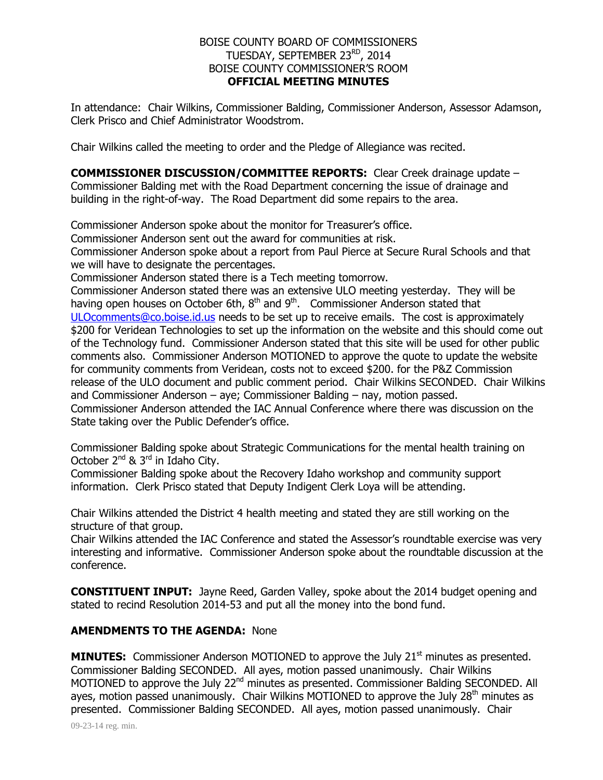## BOISE COUNTY BOARD OF COMMISSIONERS TUESDAY, SEPTEMBER 23<sup>RD</sup>, 2014 BOISE COUNTY COMMISSIONER'S ROOM **OFFICIAL MEETING MINUTES**

In attendance: Chair Wilkins, Commissioner Balding, Commissioner Anderson, Assessor Adamson, Clerk Prisco and Chief Administrator Woodstrom.

Chair Wilkins called the meeting to order and the Pledge of Allegiance was recited.

**COMMISSIONER DISCUSSION/COMMITTEE REPORTS:** Clear Creek drainage update – Commissioner Balding met with the Road Department concerning the issue of drainage and building in the right-of-way. The Road Department did some repairs to the area.

Commissioner Anderson spoke about the monitor for Treasurer's office.

Commissioner Anderson sent out the award for communities at risk.

Commissioner Anderson spoke about a report from Paul Pierce at Secure Rural Schools and that we will have to designate the percentages.

Commissioner Anderson stated there is a Tech meeting tomorrow.

Commissioner Anderson stated there was an extensive ULO meeting yesterday. They will be having open houses on October 6th,  $8<sup>th</sup>$  and  $9<sup>th</sup>$ . Commissioner Anderson stated that [ULOcomments@co.boise.id.us](mailto:ULOcomments@co.boise.id.us) needs to be set up to receive emails. The cost is approximately \$200 for Veridean Technologies to set up the information on the website and this should come out of the Technology fund. Commissioner Anderson stated that this site will be used for other public comments also. Commissioner Anderson MOTIONED to approve the quote to update the website for community comments from Veridean, costs not to exceed \$200. for the P&Z Commission release of the ULO document and public comment period. Chair Wilkins SECONDED. Chair Wilkins and Commissioner Anderson – aye; Commissioner Balding – nay, motion passed. Commissioner Anderson attended the IAC Annual Conference where there was discussion on the State taking over the Public Defender's office.

Commissioner Balding spoke about Strategic Communications for the mental health training on October  $2^{nd}$  &  $3^{rd}$  in Idaho City.

Commissioner Balding spoke about the Recovery Idaho workshop and community support information. Clerk Prisco stated that Deputy Indigent Clerk Loya will be attending.

Chair Wilkins attended the District 4 health meeting and stated they are still working on the structure of that group.

Chair Wilkins attended the IAC Conference and stated the Assessor's roundtable exercise was very interesting and informative. Commissioner Anderson spoke about the roundtable discussion at the conference.

**CONSTITUENT INPUT:** Jayne Reed, Garden Valley, spoke about the 2014 budget opening and stated to recind Resolution 2014-53 and put all the money into the bond fund.

## **AMENDMENTS TO THE AGENDA:** None

**MINUTES:** Commissioner Anderson MOTIONED to approve the July 21<sup>st</sup> minutes as presented. Commissioner Balding SECONDED. All ayes, motion passed unanimously. Chair Wilkins MOTIONED to approve the July 22<sup>nd</sup> minutes as presented. Commissioner Balding SECONDED. All ayes, motion passed unanimously. Chair Wilkins MOTIONED to approve the July  $28<sup>th</sup>$  minutes as presented. Commissioner Balding SECONDED. All ayes, motion passed unanimously. Chair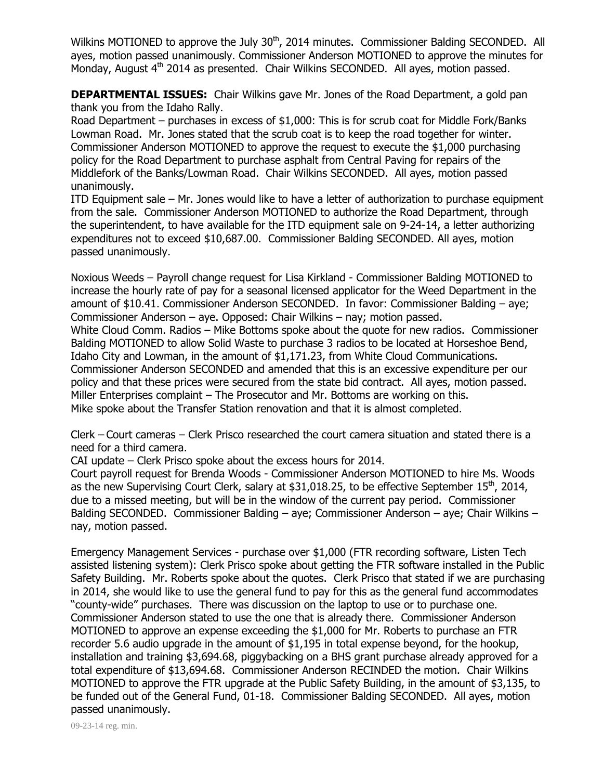Wilkins MOTIONED to approve the July 30<sup>th</sup>, 2014 minutes. Commissioner Balding SECONDED. All ayes, motion passed unanimously. Commissioner Anderson MOTIONED to approve the minutes for Monday, August 4<sup>th</sup> 2014 as presented. Chair Wilkins SECONDED. All ayes, motion passed.

**DEPARTMENTAL ISSUES:** Chair Wilkins gave Mr. Jones of the Road Department, a gold pan thank you from the Idaho Rally.

Road Department – purchases in excess of \$1,000: This is for scrub coat for Middle Fork/Banks Lowman Road. Mr. Jones stated that the scrub coat is to keep the road together for winter. Commissioner Anderson MOTIONED to approve the request to execute the \$1,000 purchasing policy for the Road Department to purchase asphalt from Central Paving for repairs of the Middlefork of the Banks/Lowman Road. Chair Wilkins SECONDED. All ayes, motion passed unanimously.

ITD Equipment sale – Mr. Jones would like to have a letter of authorization to purchase equipment from the sale. Commissioner Anderson MOTIONED to authorize the Road Department, through the superintendent, to have available for the ITD equipment sale on 9-24-14, a letter authorizing expenditures not to exceed \$10,687.00. Commissioner Balding SECONDED. All ayes, motion passed unanimously.

Noxious Weeds – Payroll change request for Lisa Kirkland - Commissioner Balding MOTIONED to increase the hourly rate of pay for a seasonal licensed applicator for the Weed Department in the amount of \$10.41. Commissioner Anderson SECONDED. In favor: Commissioner Balding – aye; Commissioner Anderson – aye. Opposed: Chair Wilkins – nay; motion passed. White Cloud Comm. Radios – Mike Bottoms spoke about the quote for new radios. Commissioner Balding MOTIONED to allow Solid Waste to purchase 3 radios to be located at Horseshoe Bend, Idaho City and Lowman, in the amount of \$1,171.23, from White Cloud Communications. Commissioner Anderson SECONDED and amended that this is an excessive expenditure per our policy and that these prices were secured from the state bid contract. All ayes, motion passed. Miller Enterprises complaint – The Prosecutor and Mr. Bottoms are working on this. Mike spoke about the Transfer Station renovation and that it is almost completed.

Clerk – Court cameras – Clerk Prisco researched the court camera situation and stated there is a need for a third camera.

CAI update – Clerk Prisco spoke about the excess hours for 2014.

Court payroll request for Brenda Woods - Commissioner Anderson MOTIONED to hire Ms. Woods as the new Supervising Court Clerk, salary at \$31,018.25, to be effective September  $15^{th}$ , 2014, due to a missed meeting, but will be in the window of the current pay period. Commissioner Balding SECONDED. Commissioner Balding – aye; Commissioner Anderson – aye; Chair Wilkins – nay, motion passed.

Emergency Management Services - purchase over \$1,000 (FTR recording software, Listen Tech assisted listening system): Clerk Prisco spoke about getting the FTR software installed in the Public Safety Building. Mr. Roberts spoke about the quotes. Clerk Prisco that stated if we are purchasing in 2014, she would like to use the general fund to pay for this as the general fund accommodates "county-wide" purchases. There was discussion on the laptop to use or to purchase one. Commissioner Anderson stated to use the one that is already there. Commissioner Anderson MOTIONED to approve an expense exceeding the \$1,000 for Mr. Roberts to purchase an FTR recorder 5.6 audio upgrade in the amount of \$1,195 in total expense beyond, for the hookup, installation and training \$3,694.68, piggybacking on a BHS grant purchase already approved for a total expenditure of \$13,694.68. Commissioner Anderson RECINDED the motion. Chair Wilkins MOTIONED to approve the FTR upgrade at the Public Safety Building, in the amount of \$3,135, to be funded out of the General Fund, 01-18. Commissioner Balding SECONDED. All ayes, motion passed unanimously.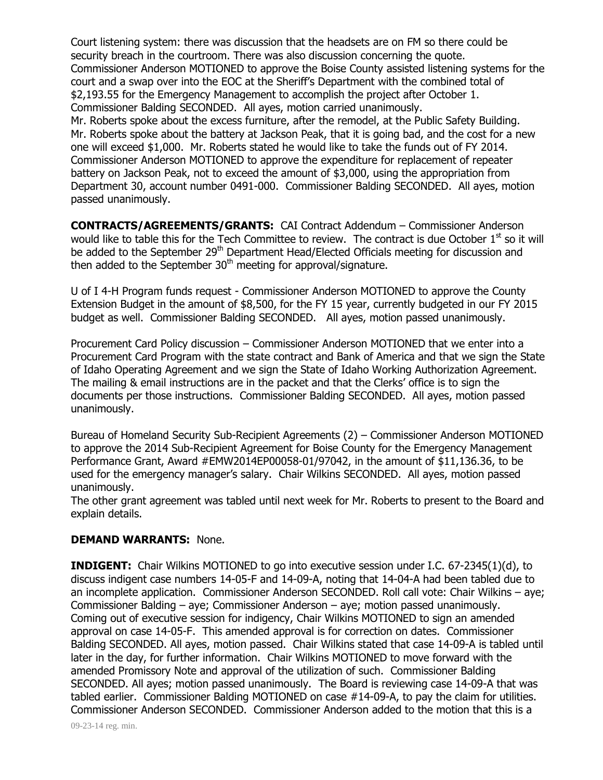Court listening system: there was discussion that the headsets are on FM so there could be security breach in the courtroom. There was also discussion concerning the quote. Commissioner Anderson MOTIONED to approve the Boise County assisted listening systems for the court and a swap over into the EOC at the Sheriff's Department with the combined total of \$2,193.55 for the Emergency Management to accomplish the project after October 1. Commissioner Balding SECONDED. All ayes, motion carried unanimously.

Mr. Roberts spoke about the excess furniture, after the remodel, at the Public Safety Building. Mr. Roberts spoke about the battery at Jackson Peak, that it is going bad, and the cost for a new one will exceed \$1,000. Mr. Roberts stated he would like to take the funds out of FY 2014. Commissioner Anderson MOTIONED to approve the expenditure for replacement of repeater battery on Jackson Peak, not to exceed the amount of \$3,000, using the appropriation from Department 30, account number 0491-000. Commissioner Balding SECONDED. All ayes, motion passed unanimously.

**CONTRACTS/AGREEMENTS/GRANTS:** CAI Contract Addendum – Commissioner Anderson would like to table this for the Tech Committee to review. The contract is due October  $1<sup>st</sup>$  so it will be added to the September 29<sup>th</sup> Department Head/Elected Officials meeting for discussion and then added to the September  $30<sup>th</sup>$  meeting for approval/signature.

U of I 4-H Program funds request - Commissioner Anderson MOTIONED to approve the County Extension Budget in the amount of \$8,500, for the FY 15 year, currently budgeted in our FY 2015 budget as well. Commissioner Balding SECONDED. All ayes, motion passed unanimously.

Procurement Card Policy discussion – Commissioner Anderson MOTIONED that we enter into a Procurement Card Program with the state contract and Bank of America and that we sign the State of Idaho Operating Agreement and we sign the State of Idaho Working Authorization Agreement. The mailing & email instructions are in the packet and that the Clerks' office is to sign the documents per those instructions. Commissioner Balding SECONDED. All ayes, motion passed unanimously.

Bureau of Homeland Security Sub-Recipient Agreements (2) – Commissioner Anderson MOTIONED to approve the 2014 Sub-Recipient Agreement for Boise County for the Emergency Management Performance Grant, Award #EMW2014EP00058-01/97042, in the amount of \$11,136.36, to be used for the emergency manager's salary. Chair Wilkins SECONDED. All ayes, motion passed unanimously.

The other grant agreement was tabled until next week for Mr. Roberts to present to the Board and explain details.

## **DEMAND WARRANTS:** None.

**INDIGENT:** Chair Wilkins MOTIONED to go into executive session under I.C. 67-2345(1)(d), to discuss indigent case numbers 14-05-F and 14-09-A, noting that 14-04-A had been tabled due to an incomplete application. Commissioner Anderson SECONDED. Roll call vote: Chair Wilkins – aye; Commissioner Balding – aye; Commissioner Anderson – aye; motion passed unanimously. Coming out of executive session for indigency, Chair Wilkins MOTIONED to sign an amended approval on case 14-05-F. This amended approval is for correction on dates. Commissioner Balding SECONDED. All ayes, motion passed. Chair Wilkins stated that case 14-09-A is tabled until later in the day, for further information. Chair Wilkins MOTIONED to move forward with the amended Promissory Note and approval of the utilization of such. Commissioner Balding SECONDED. All ayes; motion passed unanimously. The Board is reviewing case 14-09-A that was tabled earlier. Commissioner Balding MOTIONED on case #14-09-A, to pay the claim for utilities. Commissioner Anderson SECONDED. Commissioner Anderson added to the motion that this is a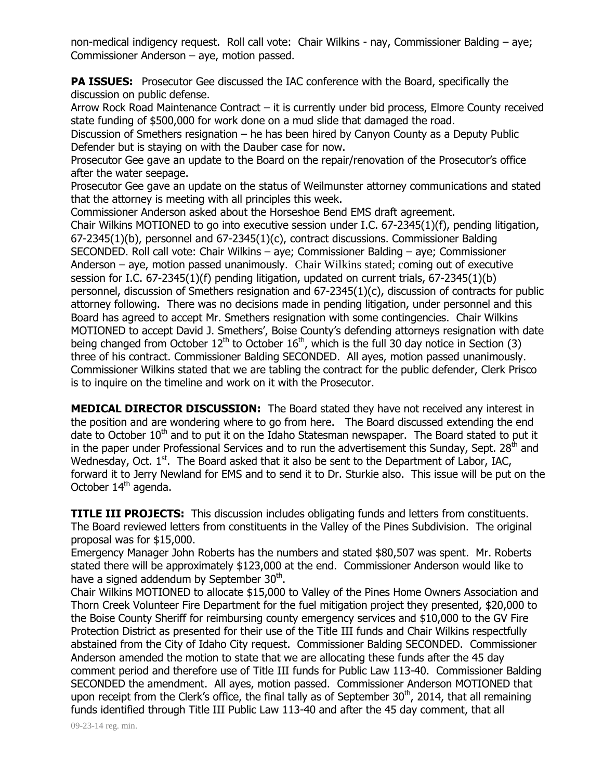non-medical indigency request. Roll call vote: Chair Wilkins - nay, Commissioner Balding – aye; Commissioner Anderson – aye, motion passed.

**PA ISSUES:** Prosecutor Gee discussed the IAC conference with the Board, specifically the discussion on public defense.

Arrow Rock Road Maintenance Contract – it is currently under bid process, Elmore County received state funding of \$500,000 for work done on a mud slide that damaged the road.

Discussion of Smethers resignation – he has been hired by Canyon County as a Deputy Public Defender but is staying on with the Dauber case for now.

Prosecutor Gee gave an update to the Board on the repair/renovation of the Prosecutor's office after the water seepage.

Prosecutor Gee gave an update on the status of Weilmunster attorney communications and stated that the attorney is meeting with all principles this week.

Commissioner Anderson asked about the Horseshoe Bend EMS draft agreement.

Chair Wilkins MOTIONED to go into executive session under I.C. 67-2345(1)(f), pending litigation, 67-2345(1)(b), personnel and 67-2345(1)(c), contract discussions. Commissioner Balding SECONDED. Roll call vote: Chair Wilkins – aye; Commissioner Balding – aye; Commissioner Anderson – aye, motion passed unanimously. Chair Wilkins stated; coming out of executive session for I.C. 67-2345(1)(f) pending litigation, updated on current trials, 67-2345(1)(b) personnel, discussion of Smethers resignation and 67-2345(1)(c), discussion of contracts for public attorney following. There was no decisions made in pending litigation, under personnel and this Board has agreed to accept Mr. Smethers resignation with some contingencies. Chair Wilkins MOTIONED to accept David J. Smethers', Boise County's defending attorneys resignation with date being changed from October  $12^{th}$  to October  $16^{th}$ , which is the full 30 day notice in Section (3) three of his contract. Commissioner Balding SECONDED. All ayes, motion passed unanimously. Commissioner Wilkins stated that we are tabling the contract for the public defender, Clerk Prisco is to inquire on the timeline and work on it with the Prosecutor.

**MEDICAL DIRECTOR DISCUSSION:** The Board stated they have not received any interest in the position and are wondering where to go from here. The Board discussed extending the end date to October  $10<sup>th</sup>$  and to put it on the Idaho Statesman newspaper. The Board stated to put it in the paper under Professional Services and to run the advertisement this Sunday, Sept. 28<sup>th</sup> and Wednesday, Oct.  $1<sup>st</sup>$ . The Board asked that it also be sent to the Department of Labor, IAC, forward it to Jerry Newland for EMS and to send it to Dr. Sturkie also. This issue will be put on the October  $14<sup>th</sup>$  agenda.

**TITLE III PROJECTS:** This discussion includes obligating funds and letters from constituents. The Board reviewed letters from constituents in the Valley of the Pines Subdivision. The original proposal was for \$15,000.

Emergency Manager John Roberts has the numbers and stated \$80,507 was spent. Mr. Roberts stated there will be approximately \$123,000 at the end. Commissioner Anderson would like to have a signed addendum by September 30<sup>th</sup>.

Chair Wilkins MOTIONED to allocate \$15,000 to Valley of the Pines Home Owners Association and Thorn Creek Volunteer Fire Department for the fuel mitigation project they presented, \$20,000 to the Boise County Sheriff for reimbursing county emergency services and \$10,000 to the GV Fire Protection District as presented for their use of the Title III funds and Chair Wilkins respectfully abstained from the City of Idaho City request. Commissioner Balding SECONDED. Commissioner Anderson amended the motion to state that we are allocating these funds after the 45 day comment period and therefore use of Title III funds for Public Law 113-40. Commissioner Balding SECONDED the amendment. All ayes, motion passed. Commissioner Anderson MOTIONED that upon receipt from the Clerk's office, the final tally as of September 30<sup>th</sup>, 2014, that all remaining funds identified through Title III Public Law 113-40 and after the 45 day comment, that all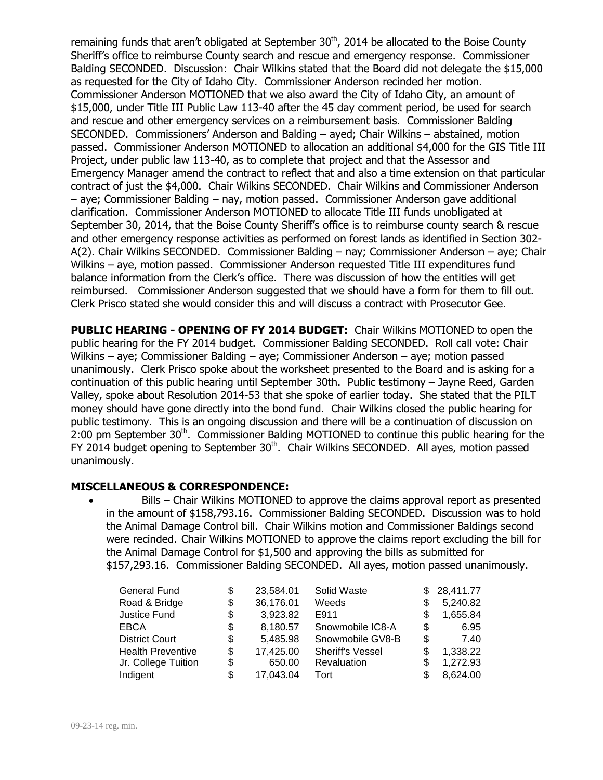remaining funds that aren't obligated at September  $30<sup>th</sup>$ , 2014 be allocated to the Boise County Sheriff's office to reimburse County search and rescue and emergency response. Commissioner Balding SECONDED. Discussion: Chair Wilkins stated that the Board did not delegate the \$15,000 as requested for the City of Idaho City. Commissioner Anderson recinded her motion. Commissioner Anderson MOTIONED that we also award the City of Idaho City, an amount of \$15,000, under Title III Public Law 113-40 after the 45 day comment period, be used for search and rescue and other emergency services on a reimbursement basis. Commissioner Balding SECONDED. Commissioners' Anderson and Balding – ayed; Chair Wilkins – abstained, motion passed. Commissioner Anderson MOTIONED to allocation an additional \$4,000 for the GIS Title III Project, under public law 113-40, as to complete that project and that the Assessor and Emergency Manager amend the contract to reflect that and also a time extension on that particular contract of just the \$4,000. Chair Wilkins SECONDED. Chair Wilkins and Commissioner Anderson – aye; Commissioner Balding – nay, motion passed. Commissioner Anderson gave additional clarification. Commissioner Anderson MOTIONED to allocate Title III funds unobligated at September 30, 2014, that the Boise County Sheriff's office is to reimburse county search & rescue and other emergency response activities as performed on forest lands as identified in Section 302- A(2). Chair Wilkins SECONDED. Commissioner Balding – nay; Commissioner Anderson – aye; Chair Wilkins – aye, motion passed. Commissioner Anderson requested Title III expenditures fund balance information from the Clerk's office. There was discussion of how the entities will get reimbursed. Commissioner Anderson suggested that we should have a form for them to fill out. Clerk Prisco stated she would consider this and will discuss a contract with Prosecutor Gee.

**PUBLIC HEARING - OPENING OF FY 2014 BUDGET:** Chair Wilkins MOTIONED to open the public hearing for the FY 2014 budget. Commissioner Balding SECONDED. Roll call vote: Chair Wilkins – aye; Commissioner Balding – aye; Commissioner Anderson – aye; motion passed unanimously. Clerk Prisco spoke about the worksheet presented to the Board and is asking for a continuation of this public hearing until September 30th. Public testimony – Jayne Reed, Garden Valley, spoke about Resolution 2014-53 that she spoke of earlier today. She stated that the PILT money should have gone directly into the bond fund. Chair Wilkins closed the public hearing for public testimony. This is an ongoing discussion and there will be a continuation of discussion on 2:00 pm September 30<sup>th</sup>. Commissioner Balding MOTIONED to continue this public hearing for the FY 2014 budget opening to September  $30<sup>th</sup>$ . Chair Wilkins SECONDED. All ayes, motion passed unanimously.

## **MISCELLANEOUS & CORRESPONDENCE:**

 Bills – Chair Wilkins MOTIONED to approve the claims approval report as presented in the amount of \$158,793.16. Commissioner Balding SECONDED. Discussion was to hold the Animal Damage Control bill. Chair Wilkins motion and Commissioner Baldings second were recinded. Chair Wilkins MOTIONED to approve the claims report excluding the bill for the Animal Damage Control for \$1,500 and approving the bills as submitted for \$157,293.16. Commissioner Balding SECONDED. All ayes, motion passed unanimously.

| \$ | 23,584.01 | Solid Waste             |     | \$28,411.77 |
|----|-----------|-------------------------|-----|-------------|
| \$ | 36,176.01 | Weeds                   |     | 5,240.82    |
| \$ | 3,923.82  | E911                    |     | 1,655.84    |
| \$ | 8,180.57  | Snowmobile IC8-A        | \$. | 6.95        |
| \$ | 5,485.98  | Snowmobile GV8-B        | S   | 7.40        |
| S  | 17,425.00 | <b>Sheriff's Vessel</b> | S   | 1,338.22    |
| \$ | 650.00    | Revaluation             |     | 1,272.93    |
| \$ | 17,043.04 | Tort                    |     | 8,624.00    |
|    |           |                         |     |             |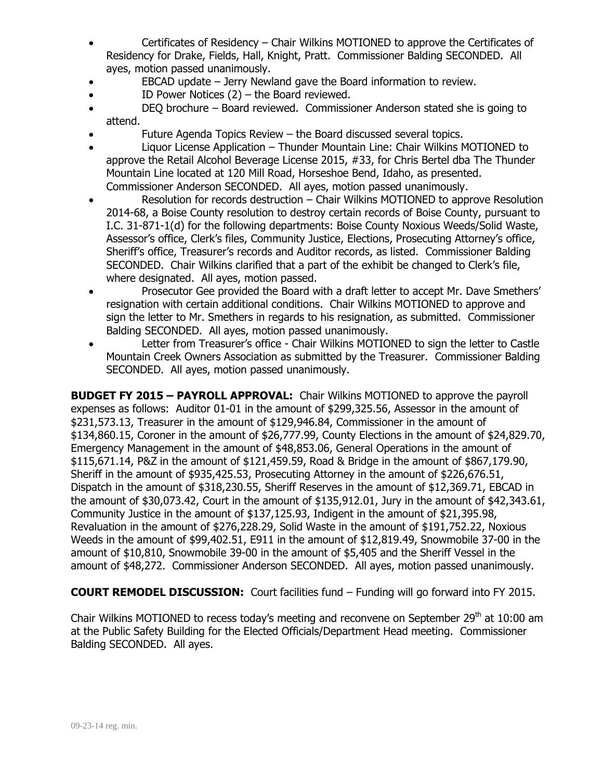- Certificates of Residency Chair Wilkins MOTIONED to approve the Certificates of Residency for Drake, Fields, Hall, Knight, Pratt. Commissioner Balding SECONDED. All ayes, motion passed unanimously.
- EBCAD update Jerry Newland gave the Board information to review.
- ID Power Notices (2) the Board reviewed.
- DEQ brochure Board reviewed. Commissioner Anderson stated she is going to attend.
- Future Agenda Topics Review the Board discussed several topics.
- Liquor License Application Thunder Mountain Line: Chair Wilkins MOTIONED to approve the Retail Alcohol Beverage License 2015, #33, for Chris Bertel dba The Thunder Mountain Line located at 120 Mill Road, Horseshoe Bend, Idaho, as presented. Commissioner Anderson SECONDED. All ayes, motion passed unanimously.
- Resolution for records destruction Chair Wilkins MOTIONED to approve Resolution 2014-68, a Boise County resolution to destroy certain records of Boise County, pursuant to I.C. 31-871-1(d) for the following departments: Boise County Noxious Weeds/Solid Waste, Assessor's office, Clerk's files, Community Justice, Elections, Prosecuting Attorney's office, Sheriff's office, Treasurer's records and Auditor records, as listed. Commissioner Balding SECONDED. Chair Wilkins clarified that a part of the exhibit be changed to Clerk's file, where designated. All ayes, motion passed.
- Prosecutor Gee provided the Board with a draft letter to accept Mr. Dave Smethers' resignation with certain additional conditions. Chair Wilkins MOTIONED to approve and sign the letter to Mr. Smethers in regards to his resignation, as submitted. Commissioner Balding SECONDED. All ayes, motion passed unanimously.
- Letter from Treasurer's office Chair Wilkins MOTIONED to sign the letter to Castle Mountain Creek Owners Association as submitted by the Treasurer. Commissioner Balding SECONDED. All ayes, motion passed unanimously.

**BUDGET FY 2015 – PAYROLL APPROVAL:** Chair Wilkins MOTIONED to approve the payroll expenses as follows: Auditor 01-01 in the amount of \$299,325.56, Assessor in the amount of \$231,573.13, Treasurer in the amount of \$129,946.84, Commissioner in the amount of \$134,860.15, Coroner in the amount of \$26,777.99, County Elections in the amount of \$24,829.70, Emergency Management in the amount of \$48,853.06, General Operations in the amount of \$115,671.14, P&Z in the amount of \$121,459.59, Road & Bridge in the amount of \$867,179.90, Sheriff in the amount of \$935,425.53, Prosecuting Attorney in the amount of \$226,676.51, Dispatch in the amount of \$318,230.55, Sheriff Reserves in the amount of \$12,369.71, EBCAD in the amount of \$30,073.42, Court in the amount of \$135,912.01, Jury in the amount of \$42,343.61, Community Justice in the amount of \$137,125.93, Indigent in the amount of \$21,395.98, Revaluation in the amount of \$276,228.29, Solid Waste in the amount of \$191,752.22, Noxious Weeds in the amount of \$99,402.51, E911 in the amount of \$12,819.49, Snowmobile 37-00 in the amount of \$10,810, Snowmobile 39-00 in the amount of \$5,405 and the Sheriff Vessel in the amount of \$48,272. Commissioner Anderson SECONDED. All ayes, motion passed unanimously.

**COURT REMODEL DISCUSSION:** Court facilities fund – Funding will go forward into FY 2015.

Chair Wilkins MOTIONED to recess today's meeting and reconvene on September 29<sup>th</sup> at 10:00 am at the Public Safety Building for the Elected Officials/Department Head meeting. Commissioner Balding SECONDED. All ayes.